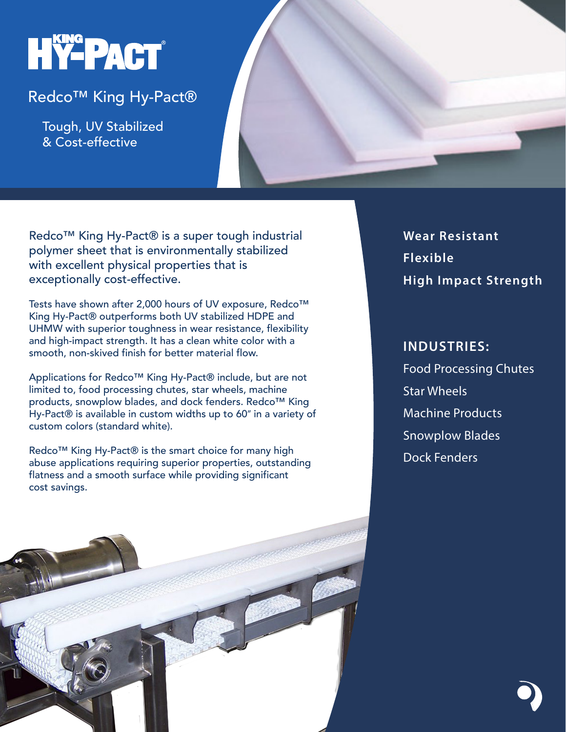# HY-PACT®

## Redco™ King Hy-Pact®

 Tough, UV Stabilized & Cost-effective

Redco™ King Hy-Pact® is a super tough industrial polymer sheet that is environmentally stabilized with excellent physical properties that is exceptionally cost-effective.

Tests have shown after 2,000 hours of UV exposure, Redco™ King Hy-Pact® outperforms both UV stabilized HDPE and UHMW with superior toughness in wear resistance, flexibility and high-impact strength. It has a clean white color with a smooth, non-skived finish for better material flow.

Applications for Redco™ King Hy-Pact® include, but are not limited to, food processing chutes, star wheels, machine products, snowplow blades, and dock fenders. Redco™ King Hy-Pact® is available in custom widths up to 60" in a variety of custom colors (standard white).

Redco<sup>™</sup> King Hy-Pact® is the smart choice for many high abuse applications requiring superior properties, outstanding flatness and a smooth surface while providing significant cost savings.

**Wear Resistant Flexible High Impact Strength**

# **INDUSTRIES:** Food Processing Chutes Star Wheels Machine Products Snowplow Blades Dock Fenders